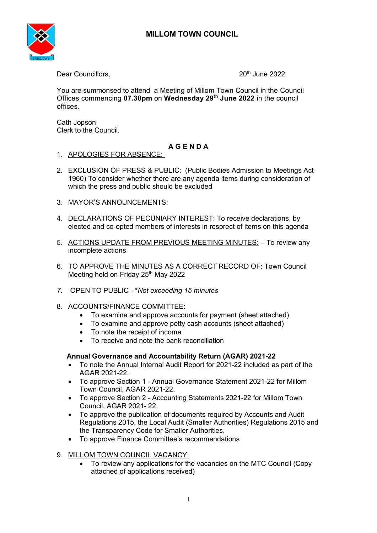

Dear Councillors, 20th June 2022

You are summonsed to attend a Meeting of Millom Town Council in the Council Offices commencing **07.30pm** on **Wednesday 29th June 2022** in the council offices.

Cath Jopson Clerk to the Council.

# **A G E N D A**

- 1. APOLOGIES FOR ABSENCE:
- 2. EXCLUSION OF PRESS & PUBLIC: (Public Bodies Admission to Meetings Act 1960) To consider whether there are any agenda items during consideration of which the press and public should be excluded
- 3. MAYOR'S ANNOUNCEMENTS:
- 4. DECLARATIONS OF PECUNIARY INTEREST: To receive declarations, by elected and co-opted members of interests in resprect of items on this agenda
- 5. ACTIONS UPDATE FROM PREVIOUS MEETING MINUTES: To review any incomplete actions
- 6. TO APPROVE THE MINUTES AS A CORRECT RECORD OF: Town Council Meeting held on Friday 25<sup>th</sup> May 2022
- *7.* OPEN TO PUBLIC \**Not exceeding 15 minutes*
- 8. ACCOUNTS/FINANCE COMMITTEE:
	- To examine and approve accounts for payment (sheet attached)
	- To examine and approve petty cash accounts (sheet attached)
	- To note the receipt of income
	- To receive and note the bank reconciliation

# **Annual Governance and Accountability Return (AGAR) 2021-22**

- To note the Annual Internal Audit Report for 2021-22 included as part of the AGAR 2021-22.
- To approve Section 1 Annual Governance Statement 2021-22 for Millom Town Council, AGAR 2021-22.
- To approve Section 2 Accounting Statements 2021-22 for Millom Town Council, AGAR 2021- 22.
- To approve the publication of documents required by Accounts and Audit Regulations 2015, the Local Audit (Smaller Authorities) Regulations 2015 and the Transparency Code for Smaller Authorities.
- To approve Finance Committee's recommendations
- 9. MILLOM TOWN COUNCIL VACANCY:
	- To review any applications for the vacancies on the MTC Council (Copy attached of applications received)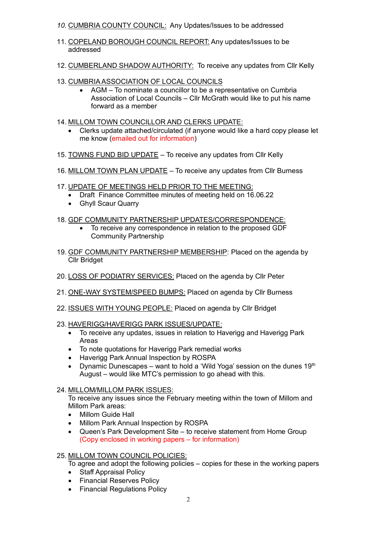- *10.* CUMBRIA COUNTY COUNCIL: Any Updates/Issues to be addressed
- 11. COPELAND BOROUGH COUNCIL REPORT: Any updates/Issues to be addressed
- 12. CUMBERLAND SHADOW AUTHORITY: To receive any updates from Cllr Kelly
- 13. CUMBRIA ASSOCIATION OF LOCAL COUNCILS
	- AGM To nominate a councillor to be a representative on Cumbria Association of Local Councils – Cllr McGrath would like to put his name forward as a member
- 14. MILLOM TOWN COUNCILLOR AND CLERKS UPDATE:
	- Clerks update attached/circulated (if anyone would like a hard copy please let me know (emailed out for information)
- 15. TOWNS FUND BID UPDATE To receive any updates from Cllr Kelly
- 16. MILLOM TOWN PLAN UPDATE To receive any updates from Cllr Burness
- 17. UPDATE OF MEETINGS HELD PRIOR TO THE MEETING:
	- Draft Finance Committee minutes of meeting held on 16.06.22
	- Ghyll Scaur Quarry

## 18. GDF COMMUNITY PARTNERSHIP UPDATES/CORRESPONDENCE:

- To receive any correspondence in relation to the proposed GDF Community Partnership
- 19. GDF COMMUNITY PARTNERSHIP MEMBERSHIP: Placed on the agenda by Cllr Bridget
- 20. LOSS OF PODIATRY SERVICES: Placed on the agenda by Cllr Peter
- 21. ONE-WAY SYSTEM/SPEED BUMPS: Placed on agenda by Cllr Burness
- 22. ISSUES WITH YOUNG PEOPLE: Placed on agenda by Cllr Bridget
- 23. HAVERIGG/HAVERIGG PARK ISSUES/UPDATE:
	- To receive any updates, issues in relation to Haverigg and Haverigg Park Areas
	- To note quotations for Haverigg Park remedial works
	- Haverigg Park Annual Inspection by ROSPA
	- Dynamic Dunescapes want to hold a 'Wild Yoga' session on the dunes  $19<sup>th</sup>$ August – would like MTC's permission to go ahead with this.
- 24. MILLOM/MILLOM PARK ISSUES:

To receive any issues since the February meeting within the town of Millom and Millom Park areas:

- Millom Guide Hall
- Millom Park Annual Inspection by ROSPA
- Queen's Park Development Site to receive statement from Home Group (Copy enclosed in working papers – for information)

### 25. MILLOM TOWN COUNCIL POLICIES:

- To agree and adopt the following policies copies for these in the working papers
- Staff Appraisal Policy
- Financial Reserves Policy
- Financial Regulations Policy